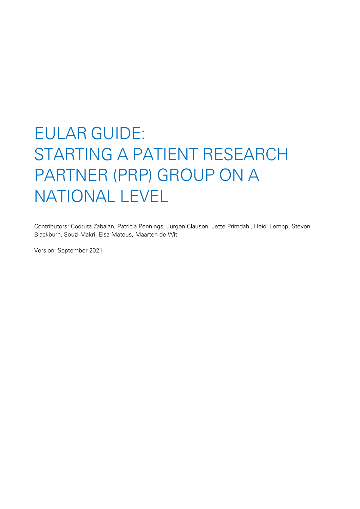# EULAR GUIDE: STARTING A PATIENT RESEARCH PARTNER (PRP) GROUP ON A NATIONAL LEVEL

Contributors: Codruta Zabalan, Patricia Pennings, Jürgen Clausen, Jette Primdahl, Heidi Lempp, Steven Blackburn, Souzi Makri, Elsa Mateus, Maarten de Wit

Version: September 2021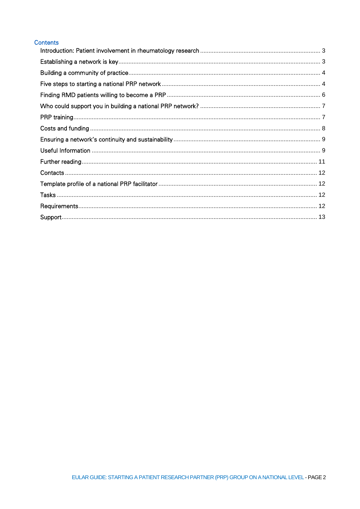## **Contents**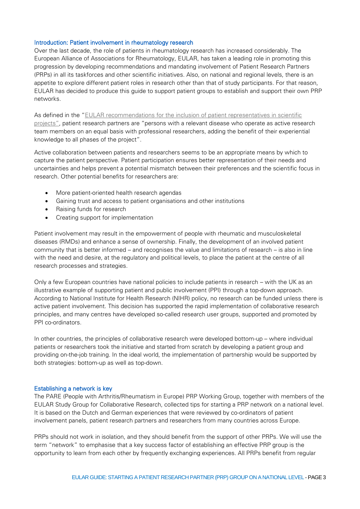## <span id="page-2-0"></span>Introduction: Patient involvement in rheumatology research

Over the last decade, the role of patients in rheumatology research has increased considerably. The European Alliance of Associations for Rheumatology, EULAR, has taken a leading role in promoting this progression by developing recommendations and mandating involvement of Patient Research Partners (PRPs) in all its taskforces and other scientific initiatives. Also, on national and regional levels, there is an appetite to explore different patient roles in research other than that of study participants. For that reason, EULAR has decided to produce this guide to support patient groups to establish and support their own PRP networks.

As defined in the "EULAR recommendations for the inclusion of patient representatives in scientific [projects](http://ard.bmj.com/content/70/5/722.abstract?sid=1dcaf25a-b356-430f-8bfa-2775c7ebf32e)", patient research partners are "persons with a relevant disease who operate as active research team members on an equal basis with professional researchers, adding the benefit of their experiential knowledge to all phases of the project".

Active collaboration between patients and researchers seems to be an appropriate means by which to capture the patient perspective. Patient participation ensures better representation of their needs and uncertainties and helps prevent a potential mismatch between their preferences and the scientific focus in research. Other potential benefits for researchers are:

- More patient-oriented health research agendas
- Gaining trust and access to patient organisations and other institutions
- Raising funds for research
- Creating support for implementation

Patient involvement may result in the empowerment of people with rheumatic and musculoskeletal diseases (RMDs) and enhance a sense of ownership. Finally, the development of an involved patient community that is better informed – and recognises the value and limitations of research – is also in line with the need and desire, at the regulatory and political levels, to place the patient at the centre of all research processes and strategies.

Only a few European countries have national policies to include patients in research – with the UK as an illustrative example of supporting patient and public involvement (PPI) through a top-down approach. According to National Institute for Health Research (NIHR) policy, no research can be funded unless there is active patient involvement. This decision has supported the rapid implementation of collaborative research principles, and many centres have developed so-called research user groups, supported and promoted by PPI co-ordinators.

In other countries, the principles of collaborative research were developed bottom-up – where individual patients or researchers took the initiative and started from scratch by developing a patient group and providing on-the-job training. In the ideal world, the implementation of partnership would be supported by both strategies: bottom-up as well as top-down.

#### <span id="page-2-1"></span>Establishing a network is key

The PARE (People with Arthritis/Rheumatism in Europe) PRP Working Group, together with members of the EULAR Study Group for Collaborative Research, collected tips for starting a PRP network on a national level. It is based on the Dutch and German experiences that were reviewed by co-ordinators of patient involvement panels, patient research partners and researchers from many countries across Europe.

PRPs should not work in isolation, and they should benefit from the support of other PRPs. We will use the term "network" to emphasise that a key success factor of establishing an effective PRP group is the opportunity to learn from each other by frequently exchanging experiences. All PRPs benefit from regular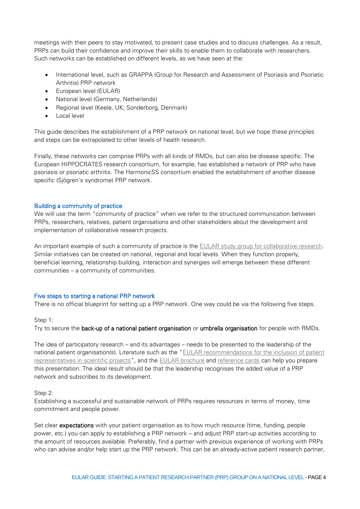meetings with their peers to stay motivated, to present case studies and to discuss challenges. As a result, PRPs can build their confidence and improve their skills to enable them to collaborate with researchers. Such networks can be established on different levels, as we have seen at the:

- International level, such as GRAPPA (Group for Research and Assessment of Psoriasis and Psoriatic Arthritis) PRP network
- European level (EULAR)
- National level (Germany, Netherlands)
- Regional level (Keele, UK; Sonderborg, Denmark)
- Local level

This guide describes the establishment of a PRP network on national level, but we hope these principles and steps can be extrapolated to other levels of health research.

Finally, these networks can comprise PRPs with all kinds of RMDs, but can also be disease specific. The European HIPPOCRATES research consortium, for example, has established a network of PRP who have psoriasis or psoriatic arthritis. The HarmonicSS consortium enabled the establishment of another disease specific (Sjögren's syndrome) PRP network.

## <span id="page-3-0"></span>Building a community of practice

We will use the term "community of practice" when we refer to the structured communication between PRPs, researchers, relatives, patient organisations and other stakeholders about the development and implementation of collaborative research projects.

An important example of such a community of practice is the [EULAR study group for collaborative research.](https://www.eular.org/pare_people_with_arthritis_and_rheumatism.cfm) Similar initiatives can be created on national, regional and local levels. When they function properly, beneficial learning, relationship building, interaction and synergies will emerge between these different communities – a community of communities.

## <span id="page-3-1"></span>Five steps to starting a national PRP network

There is no official blueprint for setting up a PRP network. One way could be via the following five steps.

Step 1:

Try to secure the back-up of a national patient organisation or umbrella organisation for people with RMDs.

The idea of participatory research – and its advantages – needs to be presented to the leadership of the national patient organisation(s). Literature such as the "[EULAR recommendations for the inclusion of patient](http://ard.bmj.com/content/70/5/722.abstract?sid=1dcaf25a-b356-430f-8bfa-2775c7ebf32e)  [representatives in scientific projects](http://ard.bmj.com/content/70/5/722.abstract?sid=1dcaf25a-b356-430f-8bfa-2775c7ebf32e)", and the [EULAR brochure](https://www.eular.org/myUploadData/files/Reference_cards_explained_Booklet_pages_23-08-13_1.pdf) and [reference cards](https://www.eular.org/myUploadData/files/Eular_Reference_cards_25-04-13_1.pdf) can help you prepare this presentation. The ideal result should be that the leadership recognises the added value of a PRP network and subscribes to its development.

## Step 2:

Establishing a successful and sustainable network of PRPs requires resources in terms of money, time commitment and people power.

Set clear expectations with your patient organisation as to how much resource (time, funding, people power, etc.) you can apply to establishing a PRP network – and adjust PRP start-up activities according to the amount of resources available. Preferably, find a partner with previous experience of working with PRPs who can advise and/or help start up the PRP network. This can be an already-active patient research partner,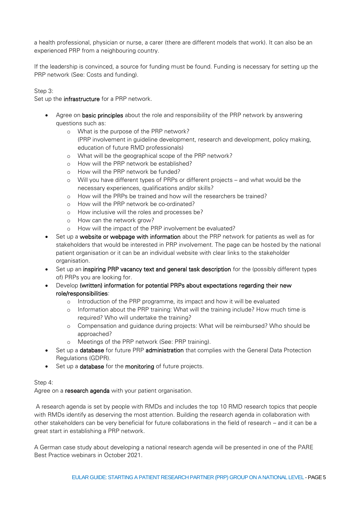a health professional, physician or nurse, a carer (there are different models that work). It can also be an experienced PRP from a neighbouring country.

If the leadership is convinced, a source for funding must be found. Funding is necessary for setting up the PRP network (See: Costs and funding).

Step 3:

Set up the **infrastructure** for a PRP network.

- Agree on basic principles about the role and responsibility of the PRP network by answering questions such as:
	- o What is the purpose of the PRP network? (PRP involvement in guideline development, research and development, policy making, education of future RMD professionals)
	- o What will be the geographical scope of the PRP network?
	- o How will the PRP network be established?
	- o How will the PRP network be funded?
	- o Will you have different types of PRPs or different projects and what would be the necessary experiences, qualifications and/or skills?
	- o How will the PRPs be trained and how will the researchers be trained?
	- o How will the PRP network be co-ordinated?
	- o How inclusive will the roles and processes be?
	- o How can the network grow?
	- o How will the impact of the PRP involvement be evaluated?
- Set up a website or webpage with information about the PRP network for patients as well as for stakeholders that would be interested in PRP involvement. The page can be hosted by the national patient organisation or it can be an individual website with clear links to the stakeholder organisation.
- Set up an inspiring PRP vacancy text and general task description for the (possibly different types of) PRPs you are looking for.
- Develop (written) information for potential PRPs about expectations regarding their new role/responsibilities:
	- o Introduction of the PRP programme, its impact and how it will be evaluated
	- o Information about the PRP training: What will the training include? How much time is required? Who will undertake the training?
	- o Compensation and guidance during projects: What will be reimbursed? Who should be approached?
	- o Meetings of the PRP network (See: PRP training).
- Set up a database for future PRP administration that complies with the General Data Protection Regulations (GDPR).
- Set up a database for the monitoring of future projects.

## Step 4:

Agree on a research agenda with your patient organisation.

A research agenda is set by people with RMDs and includes the top 10 RMD research topics that people with RMDs identify as deserving the most attention. Building the research agenda in collaboration with other stakeholders can be very beneficial for future collaborations in the field of research – and it can be a great start in establishing a PRP network.

A German case study about developing a national research agenda will be presented in one of the PARE Best Practice webinars in October 2021.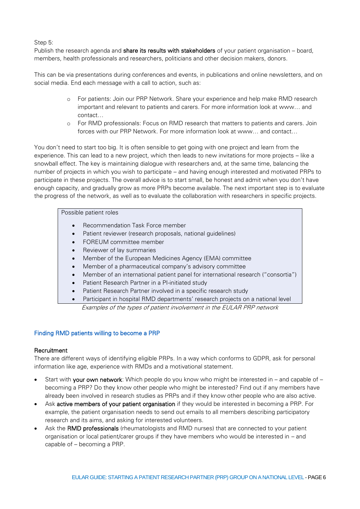Step 5:

Publish the research agenda and **share its results with stakeholders** of your patient organisation – board, members, health professionals and researchers, politicians and other decision makers, donors.

This can be via presentations during conferences and events, in publications and online newsletters, and on social media. End each message with a call to action, such as:

- o For patients: Join our PRP Network. Share your experience and help make RMD research important and relevant to patients and carers. For more information look at www… and contact…
- o For RMD professionals: Focus on RMD research that matters to patients and carers. Join forces with our PRP Network. For more information look at www… and contact…

You don't need to start too big. It is often sensible to get going with one project and learn from the experience. This can lead to a new project, which then leads to new invitations for more projects – like a snowball effect. The key is maintaining dialogue with researchers and, at the same time, balancing the number of projects in which you wish to participate – and having enough interested and motivated PRPs to participate in these projects. The overall advice is to start small, be honest and admit when you don't have enough capacity, and gradually grow as more PRPs become available. The next important step is to evaluate the progress of the network, as well as to evaluate the collaboration with researchers in specific projects.

## Possible patient roles

- Recommendation Task Force member
- Patient reviewer (research proposals, national guidelines)
- FOREUM committee member
- Reviewer of lay summaries
- Member of the European Medicines Agency (EMA) committee
- Member of a pharmaceutical company's advisory committee
- Member of an international patient panel for international research ("consortia")
- Patient Research Partner in a PI-initiated study
- Patient Research Partner involved in a specific research study
- Participant in hospital RMD departments' research projects on a national level Examples of the types of patient involvement in the EULAR PRP network

## <span id="page-5-0"></span>Finding RMD patients willing to become a PRP

## **Recruitment**

There are different ways of identifying eligible PRPs. In a way which conforms to GDPR, ask for personal information like age, experience with RMDs and a motivational statement.

- Start with your own network: Which people do you know who might be interested in and capable of becoming a PRP? Do they know other people who might be interested? Find out if any members have already been involved in research studies as PRPs and if they know other people who are also active.
- Ask active members of your patient organisation if they would be interested in becoming a PRP. For example, the patient organisation needs to send out emails to all members describing participatory research and its aims, and asking for interested volunteers.
- Ask the RMD professionals (rheumatologists and RMD nurses) that are connected to your patient organisation or local patient/carer groups if they have members who would be interested in – and capable of – becoming a PRP.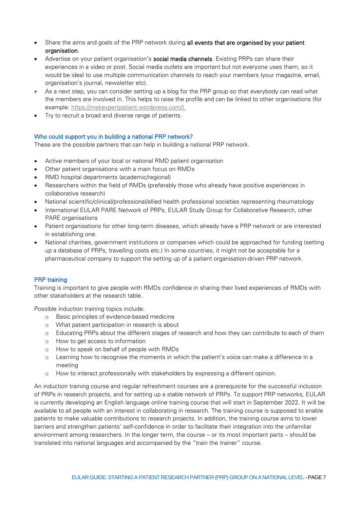- Share the aims and goals of the PRP network during all events that are organised by your patient organisation.
- Advertise on your patient organisation's **social media channels**. Existing PRPs can share their experiences in a video or post. Social media outlets are important but not everyone uses them, so it would be ideal to use multiple communication channels to reach your members (your magazine, email, organisation's journal, newsletter etc).
- As a next step, you can consider setting up a blog for the PRP group so that everybody can read what the members are involved in. This helps to raise the profile and can be linked to other organisations (for example: [https://mskexpertpatient.wordpress.com/\)](https://mskexpertpatient.wordpress.com/).
- Try to recruit a broad and diverse range of patients.

## <span id="page-6-0"></span>Who could support you in building a national PRP network?

These are the possible partners that can help in building a national PRP network.

- Active members of your local or national RMD patient organisation
- Other patient organisations with a main focus on RMDs
- RMD hospital departments (academic/regional)
- Researchers within the field of RMDs (preferably those who already have positive experiences in collaborative research)
- National scientific/clinical/professional/allied health professional societies representing rheumatology
- International EULAR PARE Network of PRPs, EULAR Study Group for Collaborative Research, other PARE organisations
- Patient organisations for other long-term diseases, which already have a PRP network or are interested in establishing one.
- National charities, government institutions or companies which could be approached for funding (setting up a database of PRPs, travelling costs etc.) In some countries, it might not be acceptable for a pharmaceutical company to support the setting up of a patient organisation-driven PRP network.

## <span id="page-6-1"></span>PRP training

Training is important to give people with RMDs confidence in sharing their lived experiences of RMDs with other stakeholders at the research table.

Possible induction training topics include:

- o Basic principles of evidence-based medicine
- o What patient participation in research is about
- o Educating PRPs about the different stages of research and how they can contribute to each of them
- o How to get access to information
- o How to speak on behalf of people with RMDs
- o Learning how to recognise the moments in which the patient's voice can make a difference in a meeting
- o How to interact professionally with stakeholders by expressing a different opinion.

An induction training course and regular refreshment courses are a prerequisite for the successful inclusion of PRPs in research projects, and for setting up a stable network of PRPs. To support PRP networks, EULAR is currently developing an English language online training course that will start in September 2022. It will be available to all people with an interest in collaborating in research. The training course is supposed to enable patients to make valuable contributions to research projects. In addition, the training course aims to lower barriers and strengthen patients' self-confidence in order to facilitate their integration into the unfamiliar environment among researchers. In the longer term, the course – or its most important parts – should be translated into national languages and accompanied by the "train the trainer" course.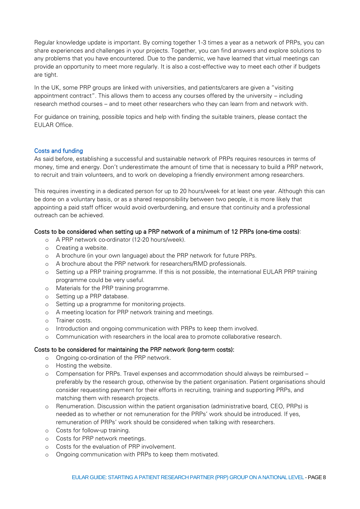Regular knowledge update is important. By coming together 1-3 times a year as a network of PRPs, you can share experiences and challenges in your projects. Together, you can find answers and explore solutions to any problems that you have encountered. Due to the pandemic, we have learned that virtual meetings can provide an opportunity to meet more regularly. It is also a cost-effective way to meet each other if budgets are tight.

In the UK, some PRP groups are linked with universities, and patients/carers are given a "visiting appointment contract". This allows them to access any courses offered by the university – including research method courses – and to meet other researchers who they can learn from and network with.

For guidance on training, possible topics and help with finding the suitable trainers, please contact the EULAR Office.

#### <span id="page-7-0"></span>Costs and funding

As said before, establishing a successful and sustainable network of PRPs requires resources in terms of money, time and energy. Don't underestimate the amount of time that is necessary to build a PRP network, to recruit and train volunteers, and to work on developing a friendly environment among researchers.

This requires investing in a dedicated person for up to 20 hours/week for at least one year. Although this can be done on a voluntary basis, or as a shared responsibility between two people, it is more likely that appointing a paid staff officer would avoid overburdening, and ensure that continuity and a professional outreach can be achieved.

## Costs to be considered when setting up a PRP network of a minimum of 12 PRPs (one-time costs):

- o A PRP network co-ordinator (12-20 hours/week).
- o Creating a website.
- o A brochure (in your own language) about the PRP network for future PRPs.
- o A brochure about the PRP network for researchers/RMD professionals.
- o Setting up a PRP training programme. If this is not possible, the international EULAR PRP training programme could be very useful.
- o Materials for the PRP training programme.
- o Setting up a PRP database.
- o Setting up a programme for monitoring projects.
- o A meeting location for PRP network training and meetings.
- o Trainer costs.
- o Introduction and ongoing communication with PRPs to keep them involved.
- o Communication with researchers in the local area to promote collaborative research.

#### Costs to be considered for maintaining the PRP network (long-term costs):

- o Ongoing co-ordination of the PRP network.
- o Hosting the website.
- o Compensation for PRPs. Travel expenses and accommodation should always be reimbursed preferably by the research group, otherwise by the patient organisation. Patient organisations should consider requesting payment for their efforts in recruiting, training and supporting PRPs, and matching them with research projects.
- o Renumeration. Discussion within the patient organisation (administrative board, CEO, PRPs) is needed as to whether or not remuneration for the PRPs' work should be introduced. If yes, remuneration of PRPs' work should be considered when talking with researchers.
- o Costs for follow-up training.
- o Costs for PRP network meetings.
- o Costs for the evaluation of PRP involvement.
- o Ongoing communication with PRPs to keep them motivated.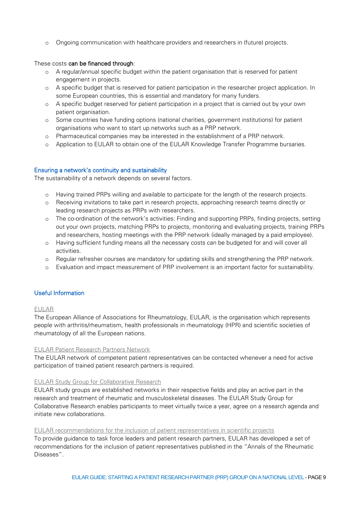o Ongoing communication with healthcare providers and researchers in (future) projects.

## These costs can be financed through:

- o A regular/annual specific budget within the patient organisation that is reserved for patient engagement in projects.
- o A specific budget that is reserved for patient participation in the researcher project application. In some European countries, this is essential and mandatory for many funders.
- o A specific budget reserved for patient participation in a project that is carried out by your own patient organisation.
- o Some countries have funding options (national charities, government institutions) for patient organisations who want to start up networks such as a PRP network.
- o Pharmaceutical companies may be interested in the establishment of a PRP network.
- o Application to EULAR to obtain one of the EULAR Knowledge Transfer Programme bursaries.

## <span id="page-8-0"></span>Ensuring a network's continuity and sustainability

The sustainability of a network depends on several factors.

- o Having trained PRPs willing and available to participate for the length of the research projects.
- o Receiving invitations to take part in research projects, approaching research teams directly or leading research projects as PRPs with researchers.
- o The co-ordination of the network's activities: Finding and supporting PRPs, finding projects, setting out your own projects, matching PRPs to projects, monitoring and evaluating projects, training PRPs and researchers, hosting meetings with the PRP network (ideally managed by a paid employee).
- o Having sufficient funding means all the necessary costs can be budgeted for and will cover all activities.
- o Regular refresher courses are mandatory for updating skills and strengthening the PRP network.
- o Evaluation and impact measurement of PRP involvement is an important factor for sustainability.

## <span id="page-8-1"></span>Useful Information

## [EULAR](http://www.eular.org/)

The European Alliance of Associations for Rheumatology, EULAR, is the organisation which represents people with arthritis/rheumatism, health professionals in rheumatology (HPR) and scientific societies of rheumatology of all the European nations.

#### [EULAR Patient Research Partners Network](https://www.eular.org/pare_patient_research_partners.cfm)

The EULAR network of competent patient representatives can be contacted whenever a need for active participation of trained patient research partners is required.

## [EULAR Study Group for Collaborative Research](https://www.eular.org/pare_people_with_arthritis_and_rheumatism.cfm)

EULAR study groups are established networks in their respective fields and play an active part in the research and treatment of rheumatic and musculoskeletal diseases. The EULAR Study Group for Collaborative Research enables participants to meet virtually twice a year, agree on a research agenda and initiate new collaborations.

#### [EULAR recommendations for the inclusion of patient representatives in scientific projects](http://ard.bmj.com/content/70/5/722.abstract?sid=1dcaf25a-b356-430f-8bfa-2775c7ebf32e)

To provide guidance to task force leaders and patient research partners, EULAR has developed a set of recommendations for the inclusion of patient representatives published in the "Annals of the Rheumatic Diseases".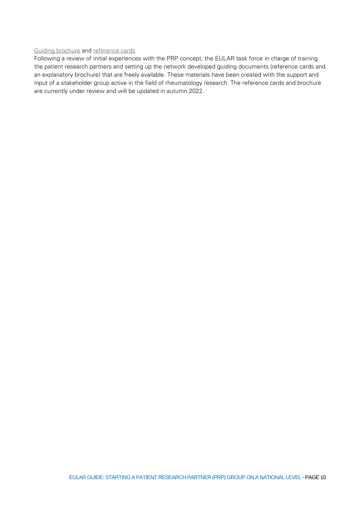# [Guiding brochure](https://www.eular.org/myUploadData/files/Reference_cards_explained_Booklet_pages_23-08-13_1.pdf) and [reference cards](https://www.eular.org/myUploadData/files/Eular_Reference_cards_25-04-13_1.pdf)

Following a review of initial experiences with the PRP concept, the EULAR task force in charge of training the patient research partners and setting up the network developed guiding documents (reference cards and an explanatory brochure) that are freely available. These materials have been created with the support and input of a stakeholder group active in the field of rheumatology research. The reference cards and brochure are currently under review and will be updated in autumn 2022.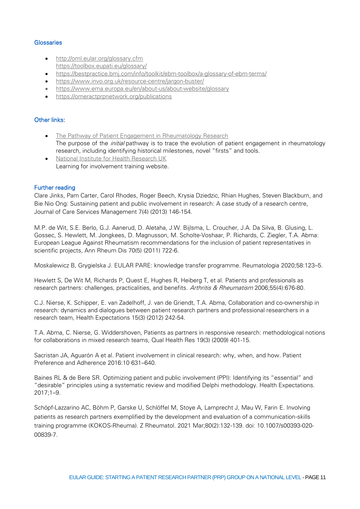## **Glossaries**

- http://oml.eular.org/glossary.cfm https://toolbox.eupati.eu/glossary/
- https://bestpractice.bmj.com/info/toolkit/ebm-toolbox/a-glossary-of-ebm-terms/
- https://www.invo.org.uk/resource-centre/jargon-buster/
- https://www.ema.europa.eu/en/about-us/about-website/glossary
- https://omeractprpnetwork.org/publications

## Other links:

- The Pathway of Patient Engagement in Rheumatology Research The purpose of the *initial* pathway is to trace the evolution of patient engagement in rheumatology research, including identifying historical milestones, novel "firsts" and tools.
- National Institute for Health Research UK Learning for involvement training website.

## <span id="page-10-0"></span>Further reading

Clare Jinks, Pam Carter, Carol Rhodes, Roger Beech, Krysia Dziedzic, Rhian Hughes, Steven Blackburn, and Bie Nio Ong: Sustaining patient and public involvement in research: A case study of a research centre, Journal of Care Services Management 7(4) (2013) 146-154.

M.P. de Wit, S.E. Berlo, G.J. Aanerud, D. Aletaha, J.W. Bijlsma, L. Croucher, J.A. Da Silva, B. Glusing, L. Gossec, S. Hewlett, M. Jongkees, D. Magnusson, M. Scholte-Voshaar, P. Richards, C. Ziegler, T.A. Abma: European League Against Rheumatism recommendations for the inclusion of patient representatives in scientific projects, Ann Rheum Dis 70(5) (2011) 722-6.

Moskalewicz B, Grygielska J. EULAR PARE: knowledge transfer programme. Reumatologia 2020;58:123–5.

Hewlett S, De Wit M, Richards P, Quest E, Hughes R, Heiberg T, et al. Patients and professionals as research partners: challenges, practicalities, and benefits. Arthritis & Rheumatism 2006;55(4):676-80.

C.J. Nierse, K. Schipper, E. van Zadelhoff, J. van de Griendt, T.A. Abma, Collaboration and co-ownership in research: dynamics and dialogues between patient research partners and professional researchers in a research team, Health Expectations 15(3) (2012) 242-54.

T.A. Abma, C. Nierse, G. Widdershoven, Patients as partners in responsive research: methodological notions for collaborations in mixed research teams, Qual Health Res 19(3) (2009) 401-15.

Sacristan JA, Aguarón A et al. Patient involvement in clinical research: why, when, and how. Patient Preference and Adherence 2016:10 631–640.

Baines RL & de Bere SR. Optimizing patient and public involvement (PPI): Identifying its "essential" and "desirable" principles using a systematic review and modified Delphi methodology. Health Expectations. 2017;1–9.

Schöpf-Lazzarino AC, Böhm P, Garske U, Schlöffel M, Stoye A, Lamprecht J, Mau W, Farin E. Involving patients as research partners exemplified by the development and evaluation of a communication-skills training programme (KOKOS-Rheuma). Z Rheumatol. 2021 Mar;80(2):132-139. doi: 10.1007/s00393-020- 00839-7.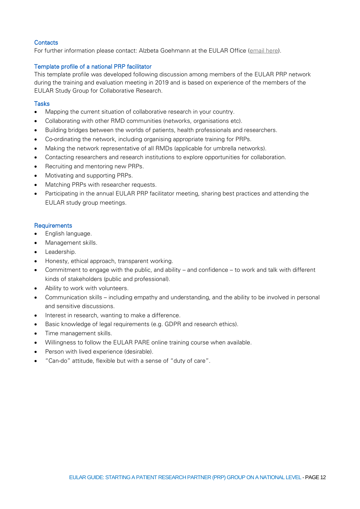# <span id="page-11-0"></span>**Contacts**

For further information please contact: Alzbeta Goehmann at the EULAR Office (email here).

# <span id="page-11-1"></span>Template profile of a national PRP facilitator

This template profile was developed following discussion among members of the EULAR PRP network during the training and evaluation meeting in 2019 and is based on experience of the members of the EULAR Study Group for Collaborative Research.

# <span id="page-11-2"></span>Tasks

- Mapping the current situation of collaborative research in your country.
- Collaborating with other RMD communities (networks, organisations etc).
- Building bridges between the worlds of patients, health professionals and researchers.
- Co-ordinating the network, including organising appropriate training for PRPs.
- Making the network representative of all RMDs (applicable for umbrella networks).
- Contacting researchers and research institutions to explore opportunities for collaboration.
- Recruiting and mentoring new PRPs.
- Motivating and supporting PRPs.
- Matching PRPs with researcher requests.
- Participating in the annual EULAR PRP facilitator meeting, sharing best practices and attending the EULAR study group meetings.

## <span id="page-11-3"></span>**Requirements**

- English language.
- Management skills.
- Leadership.
- Honesty, ethical approach, transparent working.
- Commitment to engage with the public, and ability and confidence to work and talk with different kinds of stakeholders (public and professional).
- Ability to work with volunteers.
- Communication skills including empathy and understanding, and the ability to be involved in personal and sensitive discussions.
- Interest in research, wanting to make a difference.
- Basic knowledge of legal requirements (e.g. GDPR and research ethics).
- Time management skills.
- Willingness to follow the EULAR PARE online training course when available.
- Person with lived experience (desirable).
- "Can-do" attitude, flexible but with a sense of "duty of care".